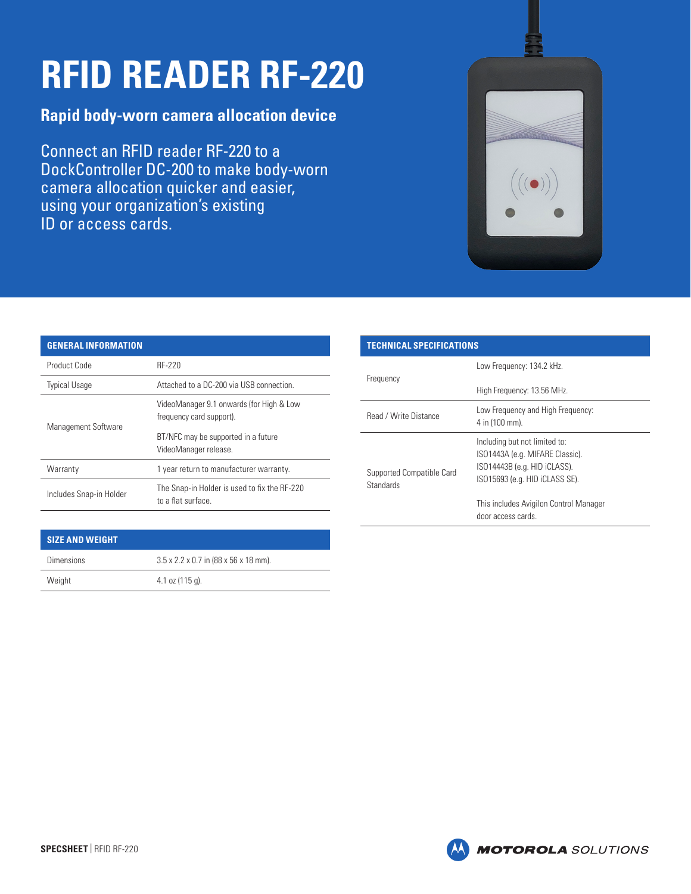## **RFID READER RF-220**

## **Rapid body-worn camera allocation device**

Connect an RFID reader RF-220 to a DockController DC-200 to make body-worn camera allocation quicker and easier, using your organization's existing ID or access cards.



| <b>GENERAL INFORMATION</b> |                                                                      |
|----------------------------|----------------------------------------------------------------------|
| Product Code               | RF-220                                                               |
| <b>Typical Usage</b>       | Attached to a DC-200 via USB connection                              |
| Management Software        | VideoManager 9.1 onwards (for High & Low<br>frequency card support). |
|                            | BT/NFC may be supported in a future<br>VideoManager release.         |
| Warranty                   | 1 year return to manufacturer warranty.                              |
| Includes Snap-in Holder    | The Snap-in Holder is used to fix the RF-220<br>to a flat surface    |

| <b>TECHNICAL SPECIFICATIONS</b>               |                                                                                                                                    |  |
|-----------------------------------------------|------------------------------------------------------------------------------------------------------------------------------------|--|
| Frequency                                     | Low Frequency: 134.2 kHz.                                                                                                          |  |
|                                               | High Frequency: 13.56 MHz.                                                                                                         |  |
| Read / Write Distance                         | Low Frequency and High Frequency:<br>4 in (100 mm).                                                                                |  |
| Supported Compatible Card<br><b>Standards</b> | Including but not limited to:<br>ISO1443A (e.g. MIFARE Classic).<br>ISO14443B (e.g. HID iCLASS).<br>ISO15693 (e.g. HID iCLASS SE). |  |
|                                               | This includes Avigilon Control Manager<br>door access cards.                                                                       |  |

## **SIZE AND WEIGHT**

| <b>Dimensions</b> | $3.5 \times 2.2 \times 0.7$ in (88 x 56 x 18 mm). |
|-------------------|---------------------------------------------------|
| Weight            | $4.1$ oz $(115q)$ .                               |